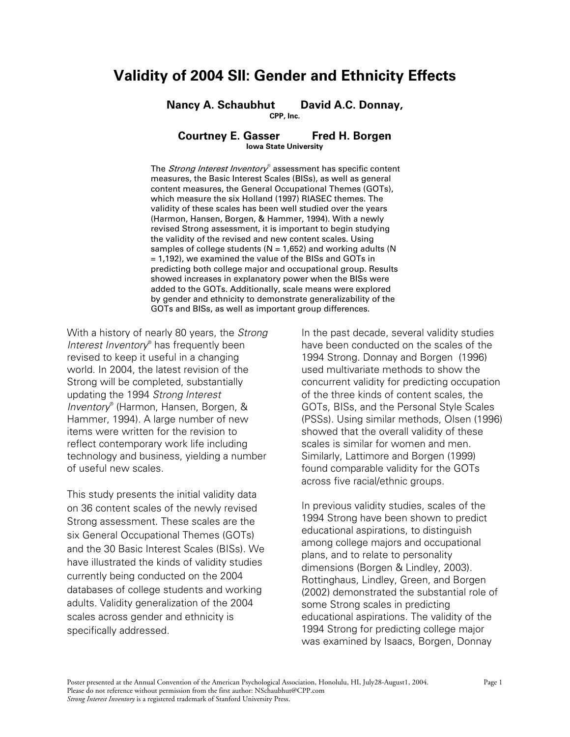# **Validity of 2004 SII: Gender and Ethnicity Effects**

**Nancy A. Schaubhut David A.C. Donnay, CPP, Inc.** 

### **Courtney E. Gasser Fred H. Borgen Iowa State University**

The Strong Interest Inventory® assessment has specific content measures, the Basic Interest Scales (BISs), as well as general content measures, the General Occupational Themes (GOTs), which measure the six Holland (1997) RIASEC themes. The validity of these scales has been well studied over the years (Harmon, Hansen, Borgen, & Hammer, 1994). With a newly revised Strong assessment, it is important to begin studying the validity of the revised and new content scales. Using samples of college students ( $N = 1,652$ ) and working adults ( $N = 1,652$ ) = 1,192), we examined the value of the BISs and GOTs in predicting both college major and occupational group. Results showed increases in explanatory power when the BISs were added to the GOTs. Additionally, scale means were explored by gender and ethnicity to demonstrate generalizability of the GOTs and BISs, as well as important group differences.

With a history of nearly 80 years, the *Strong Interest Inventory*® has frequently been revised to keep it useful in a changing world. In 2004, the latest revision of the Strong will be completed, substantially updating the 1994 *Strong Interest Inventory*® (Harmon, Hansen, Borgen, & Hammer, 1994). A large number of new items were written for the revision to reflect contemporary work life including technology and business, yielding a number of useful new scales.

This study presents the initial validity data on 36 content scales of the newly revised Strong assessment. These scales are the six General Occupational Themes (GOTs) and the 30 Basic Interest Scales (BISs). We have illustrated the kinds of validity studies currently being conducted on the 2004 databases of college students and working adults. Validity generalization of the 2004 scales across gender and ethnicity is specifically addressed.

In the past decade, several validity studies have been conducted on the scales of the 1994 Strong. Donnay and Borgen (1996) used multivariate methods to show the concurrent validity for predicting occupation of the three kinds of content scales, the GOTs, BISs, and the Personal Style Scales (PSSs). Using similar methods, Olsen (1996) showed that the overall validity of these scales is similar for women and men. Similarly, Lattimore and Borgen (1999) found comparable validity for the GOTs across five racial/ethnic groups.

In previous validity studies, scales of the 1994 Strong have been shown to predict educational aspirations, to distinguish among college majors and occupational plans, and to relate to personality dimensions (Borgen & Lindley, 2003). Rottinghaus, Lindley, Green, and Borgen (2002) demonstrated the substantial role of some Strong scales in predicting educational aspirations. The validity of the 1994 Strong for predicting college major was examined by Isaacs, Borgen, Donnay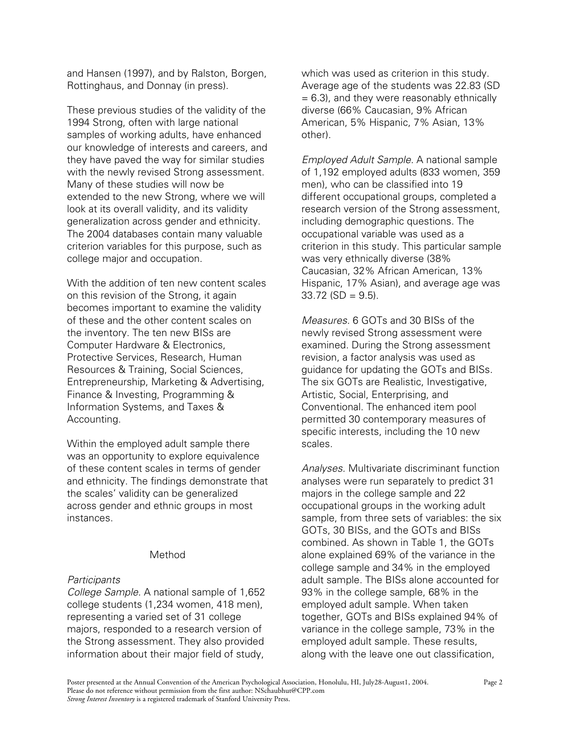and Hansen (1997), and by Ralston, Borgen, Rottinghaus, and Donnay (in press).

These previous studies of the validity of the 1994 Strong, often with large national samples of working adults, have enhanced our knowledge of interests and careers, and they have paved the way for similar studies with the newly revised Strong assessment. Many of these studies will now be extended to the new Strong, where we will look at its overall validity, and its validity generalization across gender and ethnicity. The 2004 databases contain many valuable criterion variables for this purpose, such as college major and occupation.

With the addition of ten new content scales on this revision of the Strong, it again becomes important to examine the validity of these and the other content scales on the inventory. The ten new BISs are Computer Hardware & Electronics, Protective Services, Research, Human Resources & Training, Social Sciences, Entrepreneurship, Marketing & Advertising, Finance & Investing, Programming & Information Systems, and Taxes & Accounting.

Within the employed adult sample there was an opportunity to explore equivalence of these content scales in terms of gender and ethnicity. The findings demonstrate that the scales' validity can be generalized across gender and ethnic groups in most instances.

## Method

# *Participants*

*College Sample.* A national sample of 1,652 college students (1,234 women, 418 men), representing a varied set of 31 college majors, responded to a research version of the Strong assessment. They also provided information about their major field of study,

which was used as criterion in this study. Average age of the students was 22.83 (SD  $= 6.3$ ), and they were reasonably ethnically diverse (66% Caucasian, 9% African American, 5% Hispanic, 7% Asian, 13% other).

*Employed Adult Sample.* A national sample of 1,192 employed adults (833 women, 359 men), who can be classified into 19 different occupational groups, completed a research version of the Strong assessment, including demographic questions. The occupational variable was used as a criterion in this study. This particular sample was very ethnically diverse (38% Caucasian, 32% African American, 13% Hispanic, 17% Asian), and average age was  $33.72$  (SD = 9.5).

*Measures.* 6 GOTs and 30 BISs of the newly revised Strong assessment were examined. During the Strong assessment revision, a factor analysis was used as guidance for updating the GOTs and BISs. The six GOTs are Realistic, Investigative, Artistic, Social, Enterprising, and Conventional. The enhanced item pool permitted 30 contemporary measures of specific interests, including the 10 new scales.

*Analyses.* Multivariate discriminant function analyses were run separately to predict 31 majors in the college sample and 22 occupational groups in the working adult sample, from three sets of variables: the six GOTs, 30 BISs, and the GOTs and BISs combined. As shown in Table 1, the GOTs alone explained 69% of the variance in the college sample and 34% in the employed adult sample. The BISs alone accounted for 93% in the college sample, 68% in the employed adult sample. When taken together, GOTs and BISs explained 94% of variance in the college sample, 73% in the employed adult sample. These results, along with the leave one out classification,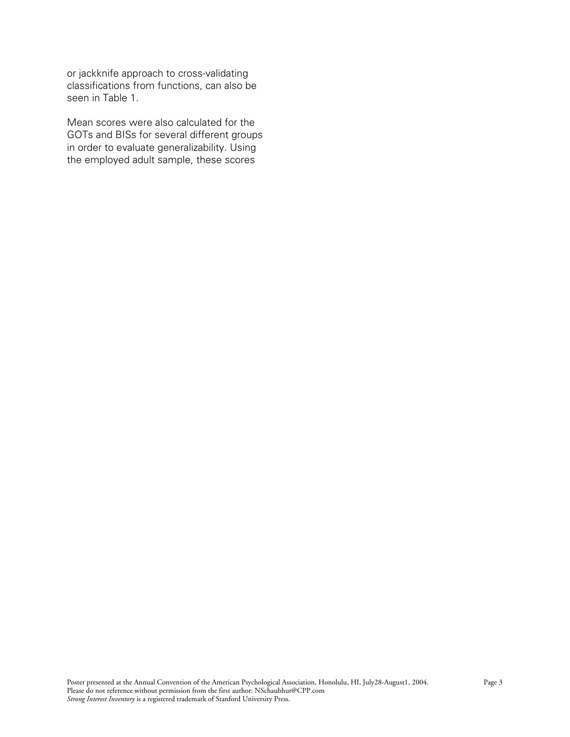or jackknife approach to cross-validating classifications from functions, can also be seen in Table 1.

Mean scores were also calculated for the GOTs and BISs for several different groups in order to evaluate generalizability. Using the employed adult sample, these scores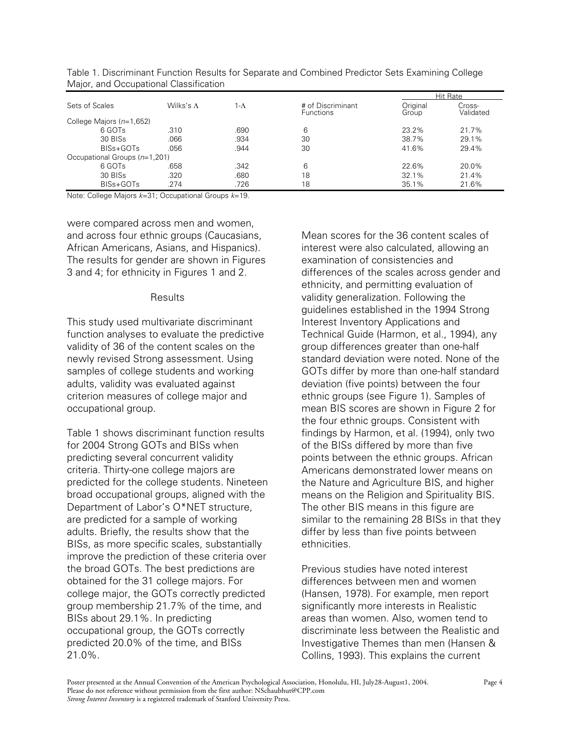| Sets of Scales                | Wilks's $\Lambda$ | 1-Λ  | # of Discriminant<br><b>Functions</b> | Hit Rate          |                     |
|-------------------------------|-------------------|------|---------------------------------------|-------------------|---------------------|
|                               |                   |      |                                       | Original<br>Group | Cross-<br>Validated |
| College Majors $(n=1,652)$    |                   |      |                                       |                   |                     |
| 6 GOTs                        | .310              | .690 | 6                                     | 23.2%             | 21.7%               |
| 30 BISs                       | .066              | .934 | 30                                    | 38.7%             | 29.1%               |
| BISs+GOTs                     | .056              | .944 | 30                                    | 41.6%             | 29.4%               |
| Occupational Groups (n=1,201) |                   |      |                                       |                   |                     |
| 6 GOTs                        | .658              | .342 | 6                                     | 22.6%             | 20.0%               |
| 30 BISs                       | .320              | .680 | 18                                    | 32.1%             | 21.4%               |
| BISs+GOTs                     | .274              | .726 | 18                                    | 35.1%             | 21.6%               |

Table 1. Discriminant Function Results for Separate and Combined Predictor Sets Examining College Major, and Occupational Classification

Note: College Majors *k*=31; Occupational Groups *k*=19.

were compared across men and women, and across four ethnic groups (Caucasians, African Americans, Asians, and Hispanics). The results for gender are shown in Figures 3 and 4; for ethnicity in Figures 1 and 2.

#### Results

This study used multivariate discriminant function analyses to evaluate the predictive validity of 36 of the content scales on the newly revised Strong assessment. Using samples of college students and working adults, validity was evaluated against criterion measures of college major and occupational group.

Table 1 shows discriminant function results for 2004 Strong GOTs and BISs when predicting several concurrent validity criteria. Thirty-one college majors are predicted for the college students. Nineteen broad occupational groups, aligned with the Department of Labor's O\*NET structure, are predicted for a sample of working adults. Briefly, the results show that the BISs, as more specific scales, substantially improve the prediction of these criteria over the broad GOTs. The best predictions are obtained for the 31 college majors. For college major, the GOTs correctly predicted group membership 21.7% of the time, and BISs about 29.1%. In predicting occupational group, the GOTs correctly predicted 20.0% of the time, and BISs 21.0%.

Mean scores for the 36 content scales of interest were also calculated, allowing an examination of consistencies and differences of the scales across gender and ethnicity, and permitting evaluation of validity generalization. Following the guidelines established in the 1994 Strong Interest Inventory Applications and Technical Guide (Harmon, et al., 1994), any group differences greater than one-half standard deviation were noted. None of the GOTs differ by more than one-half standard deviation (five points) between the four ethnic groups (see Figure 1). Samples of mean BIS scores are shown in Figure 2 for the four ethnic groups. Consistent with findings by Harmon, et al. (1994), only two of the BISs differed by more than five points between the ethnic groups. African Americans demonstrated lower means on the Nature and Agriculture BIS, and higher means on the Religion and Spirituality BIS. The other BIS means in this figure are similar to the remaining 28 BISs in that they differ by less than five points between ethnicities.

Previous studies have noted interest differences between men and women (Hansen, 1978). For example, men report significantly more interests in Realistic areas than women. Also, women tend to discriminate less between the Realistic and Investigative Themes than men (Hansen & Collins, 1993). This explains the current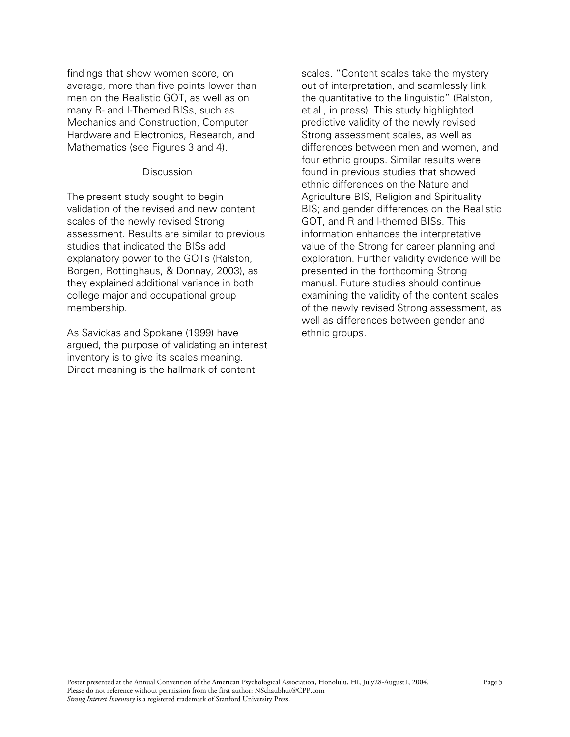findings that show women score, on average, more than five points lower than men on the Realistic GOT, as well as on many R- and I-Themed BISs, such as Mechanics and Construction, Computer Hardware and Electronics, Research, and Mathematics (see Figures 3 and 4).

## **Discussion**

The present study sought to begin validation of the revised and new content scales of the newly revised Strong assessment. Results are similar to previous studies that indicated the BISs add explanatory power to the GOTs (Ralston, Borgen, Rottinghaus, & Donnay, 2003), as they explained additional variance in both college major and occupational group membership.

As Savickas and Spokane (1999) have argued, the purpose of validating an interest inventory is to give its scales meaning. Direct meaning is the hallmark of content

scales. "Content scales take the mystery out of interpretation, and seamlessly link the quantitative to the linguistic" (Ralston, et al., in press). This study highlighted predictive validity of the newly revised Strong assessment scales, as well as differences between men and women, and four ethnic groups. Similar results were found in previous studies that showed ethnic differences on the Nature and Agriculture BIS, Religion and Spirituality BIS; and gender differences on the Realistic GOT, and R and I-themed BISs. This information enhances the interpretative value of the Strong for career planning and exploration. Further validity evidence will be presented in the forthcoming Strong manual. Future studies should continue examining the validity of the content scales of the newly revised Strong assessment, as well as differences between gender and ethnic groups.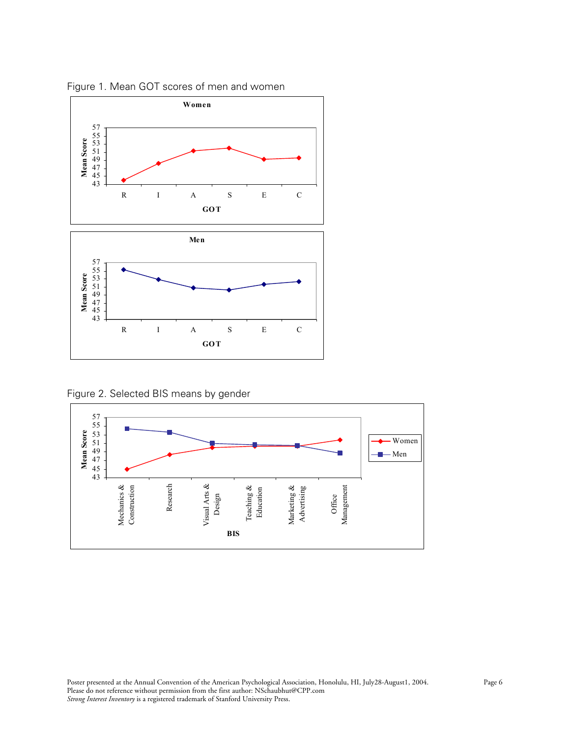

Figure 1. Mean GOT scores of men and women

Figure 2. Selected BIS means by gender

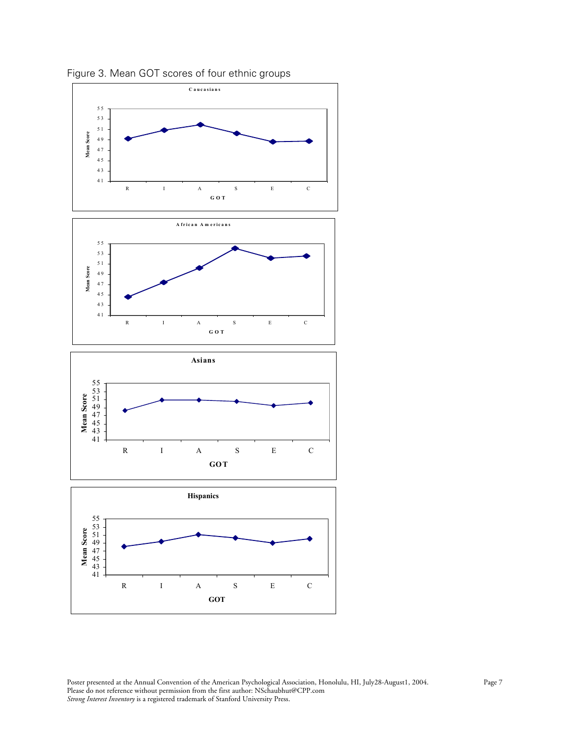

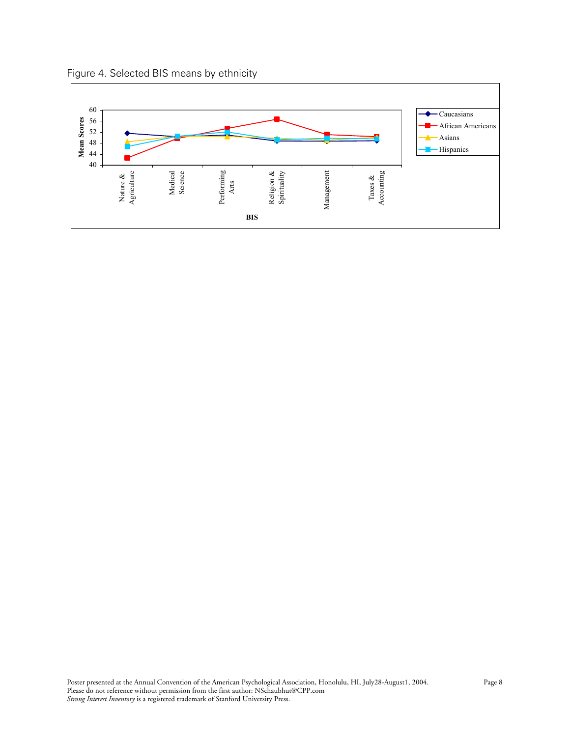